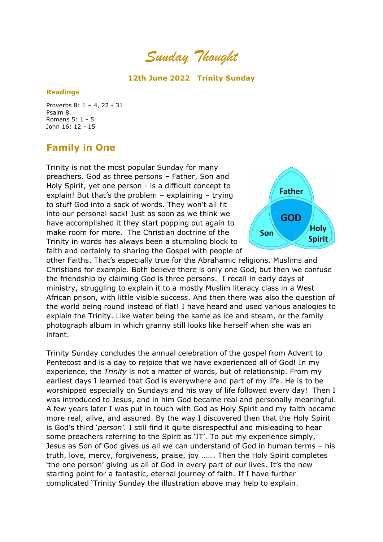*Sunday Thought*

# **12th June 2022 Trinity Sunday**

## **Readings**

Proverbs 8: 1 – 4, 22 - 31 Psalm 8 Romans 5: 1 - 5 John 16: 12 - 15

# **Family in One**

Trinity is not the most popular Sunday for many preachers. God as three persons – Father, Son and Holy Spirit, yet one person - is a difficult concept to explain! But that's the problem – explaining – trying to stuff God into a sack of words. They won't all fit into our personal sack! Just as soon as we think we have accomplished it they start popping out again to make room for more. The Christian doctrine of the Trinity in words has always been a stumbling block to faith and certainly to sharing the Gospel with people of



other Faiths. That's especially true for the Abrahamic religions. Muslims and Christians for example. Both believe there is only one God, but then we confuse the friendship by claiming God is three persons. I recall in early days of ministry, struggling to explain it to a mostly Muslim literacy class in a West African prison, with little visible success. And then there was also the question of the world being round instead of flat! I have heard and used various analogies to explain the Trinity. Like water being the same as ice and steam, or the family photograph album in which granny still looks like herself when she was an infant.

Trinity Sunday concludes the annual celebration of the gospel from Advent to Pentecost and is a day to rejoice that we have experienced all of God! In my experience, the *Trinity* is not a matter of words, but of relationship. From my earliest days I learned that God is everywhere and part of my life. He is to be worshipped especially on Sundays and his way of life followed every day! Then I was introduced to Jesus, and in him God became real and personally meaningful. A few years later I was put in touch with God as Holy Spirit and my faith became more real, alive, and assured. By the way I discovered then that the Holy Spirit is God's third '*person'.* I still find it quite disrespectful and misleading to hear some preachers referring to the Spirit as 'IT'. To put my experience simply, Jesus as Son of God gives us all we can understand of God in human terms – his truth, love, mercy, forgiveness, praise, joy ……. Then the Holy Spirit completes 'the one person' giving us all of God in every part of our lives. It's the new starting point for a fantastic, eternal journey of faith. If I have further complicated 'Trinity Sunday the illustration above may help to explain.